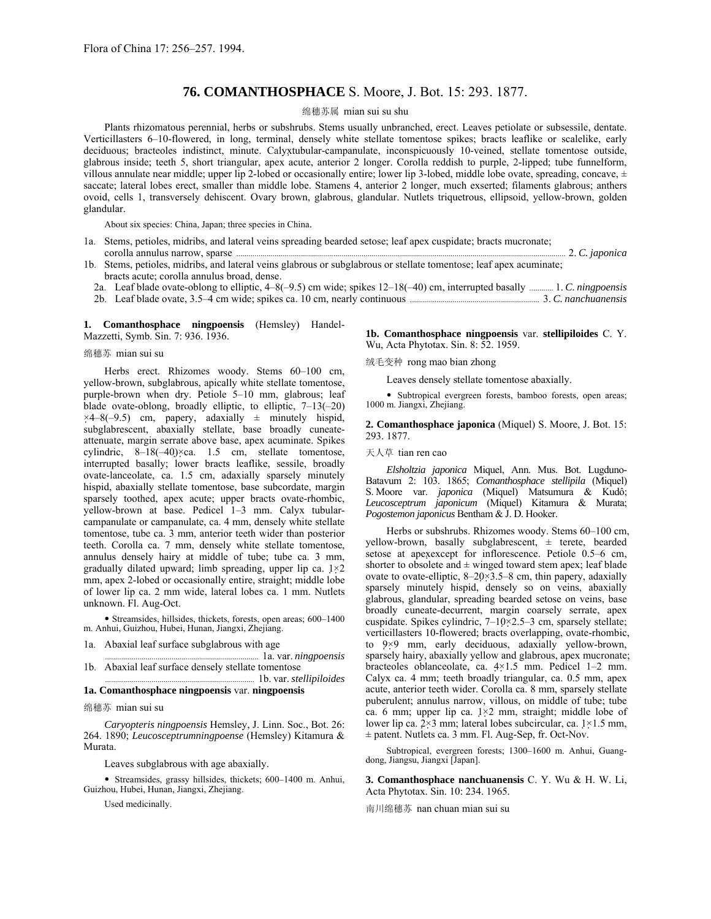# **76. COMANTHOSPHACE** S. Moore, J. Bot. 15: 293. 1877.

### 绵穗苏属 mian sui su shu

Plants rhizomatous perennial, herbs or subshrubs. Stems usually unbranched, erect. Leaves petiolate or subsessile, dentate. Verticillasters 6-10-flowered, in long, terminal, densely white stellate tomentose spikes; bracts leaflike or scalelike, early deciduous; bracteoles indistinct, minute. Calyxtubular-campanulate, inconspicuously 10-veined, stellate tomentose outside, glabrous inside; teeth 5, short triangular, apex acute, anterior 2 longer. Corolla reddish to purple, 2-lipped; tube funnelform, villous annulate near middle; upper lip 2-lobed or occasionally entire; lower lip 3-lobed, middle lobe ovate, spreading, concave,  $\pm$ saccate; lateral lobes erect, smaller than middle lobe. Stamens 4, anterior 2 longer, much exserted; filaments glabrous; anthers ovoid, cells 1, transversely dehiscent. Ovary brown, glabrous, glandular. Nutlets triquetrous, ellipsoid, yellow-brown, golden glandular.

About six species: China, Japan; three species in China.

- 1a. Stems, petioles, midribs, and lateral veins spreading bearded setose; leaf apex cuspidate; bracts mucronate; corolla annulus narrow, sparse ................................................................................................................................................................... 2. *C. japonica*
- 1b. Stems, petioles, midribs, and lateral veins glabrous or subglabrous or stellate tomentose; leaf apex acuminate; bracts acute; corolla annulus broad, dense.
	- 2a. Leaf blade ovate-oblong to elliptic, 4–8(–9.5) cm wide; spikes 12–18(–40) cm, interrupted basally ............ 1. *C. ningpoensis*
	- 2b. Leaf blade ovate, 3.5ñ4 cm wide; spikes ca. 10 cm, nearly continuous ................................................................ 3. *C. nanchuanensis*

**1. Comanthosphace ningpoensis** (Hemsley) Handel-Mazzetti, Symb. Sin. 7: 936. 1936.

### 绵穗苏 mian sui su

Herbs erect. Rhizomes woody. Stems 60-100 cm, yellow-brown, subglabrous, apically white stellate tomentose, purple-brown when dry. Petiole 5-10 mm, glabrous; leaf blade ovate-oblong, broadly elliptic, to elliptic,  $7-13(-20)$  $\times$ 4–8(–9.5) cm, papery, adaxially  $\pm$  minutely hispid, subglabrescent, abaxially stellate, base broadly cuneateattenuate, margin serrate above base, apex acuminate. Spikes cylindric,  $8-18(-40) \times ca$ . 1.5 cm, stellate tomentose, interrupted basally; lower bracts leaflike, sessile, broadly ovate-lanceolate, ca. 1.5 cm, adaxially sparsely minutely hispid, abaxially stellate tomentose, base subcordate, margin sparsely toothed, apex acute; upper bracts ovate-rhombic, yellow-brown at base. Pedicel  $1-3$  mm. Calyx tubularcampanulate or campanulate, ca. 4 mm, densely white stellate tomentose, tube ca. 3 mm, anterior teeth wider than posterior teeth. Corolla ca. 7 mm, densely white stellate tomentose, annulus densely hairy at middle of tube; tube ca. 3 mm, gradually dilated upward; limb spreading, upper lip ca. 1×2 mm, apex 2-lobed or occasionally entire, straight; middle lobe of lower lip ca. 2 mm wide, lateral lobes ca. 1 mm. Nutlets unknown. Fl. Aug-Oct.

 $\bullet$  Streamsides, hillsides, thickets, forests, open areas; 600-1400 m. Anhui, Guizhou, Hubei, Hunan, Jiangxi, Zhejiang.

1a. Abaxial leaf surface subglabrous with age

..... 1a. var. *ningpoensis* 1b. Abaxial leaf surface densely stellate tomentose .......................................................................... 1b. var. *stellipiloides*

## **1a. Comanthosphace ningpoensis** var. **ningpoensis**

### 绵穗苏 mian sui su

*Caryopteris ningpoensis* Hemsley, J. Linn. Soc., Bot. 26: 264. 1890; *Leucosceptrumningpoense* (Hemsley) Kitamura & Murata.

Leaves subglabrous with age abaxially.

• Streamsides, grassy hillsides, thickets; 600-1400 m. Anhui, Guizhou, Hubei, Hunan, Jiangxi, Zhejiang.

Used medicinally.

**1b. Comanthosphace ningpoensis** var. **stellipiloides** C. Y. Wu, Acta Phytotax. Sin. 8: 52. 1959.

绒毛变种 rong mao bian zhong

Leaves densely stellate tomentose abaxially.

• Subtropical evergreen forests, bamboo forests, open areas; 1000 m. Jiangxi, Zhejiang.

**2. Comanthosphace japonica** (Miquel) S. Moore, J. Bot. 15: 293. 1877.

### 天人草 tian ren cao

*Elsholtzia japonica* Miquel, Ann. Mus. Bot. Lugduno-Batavum 2: 103. 1865; *Comanthosphace stellipila* (Miquel) S. Moore var. *japonica* (Miquel) Matsumura & Kudô; *Leucosceptrum japonicum* (Miquel) Kitamura & Murata; *Pogostemon japonicus* Bentham & J. D. Hooker.

Herbs or subshrubs. Rhizomes woody. Stems 60-100 cm, yellow-brown, basally subglabrescent, ± terete, bearded setose at apexexcept for inflorescence. Petiole 0.5-6 cm, shorter to obsolete and  $\pm$  winged toward stem apex; leaf blade ovate to ovate-elliptic,  $8-20\times3.5-8$  cm, thin papery, adaxially sparsely minutely hispid, densely so on veins, abaxially glabrous, glandular, spreading bearded setose on veins, base broadly cuneate-decurrent, margin coarsely serrate, apex cuspidate. Spikes cylindric,  $7-10\times2.5-3$  cm, sparsely stellate; verticillasters 10-flowered; bracts overlapping, ovate-rhombic, to 9×9 mm, early deciduous, adaxially yellow-brown, sparsely hairy, abaxially yellow and glabrous, apex mucronate; bracteoles oblanceolate, ca.  $4 \times 1.5$  mm. Pedicel 1-2 mm. Calyx ca. 4 mm; teeth broadly triangular, ca. 0.5 mm, apex acute, anterior teeth wider. Corolla ca. 8 mm, sparsely stellate puberulent; annulus narrow, villous, on middle of tube; tube ca. 6 mm; upper lip ca. 1×2 mm, straight; middle lobe of lower lip ca.  $2\times3$  mm; lateral lobes subcircular, ca.  $1\times1.5$  mm, ± patent. Nutlets ca. 3 mm. Fl. Aug-Sep, fr. Oct-Nov.

Subtropical, evergreen forests; 1300-1600 m. Anhui, Guangdong, Jiangsu, Jiangxi [Japan].

**3. Comanthosphace nanchuanensis** C. Y. Wu & H. W. Li, Acta Phytotax. Sin. 10: 234. 1965.

南川绵穗苏 nan chuan mian sui su